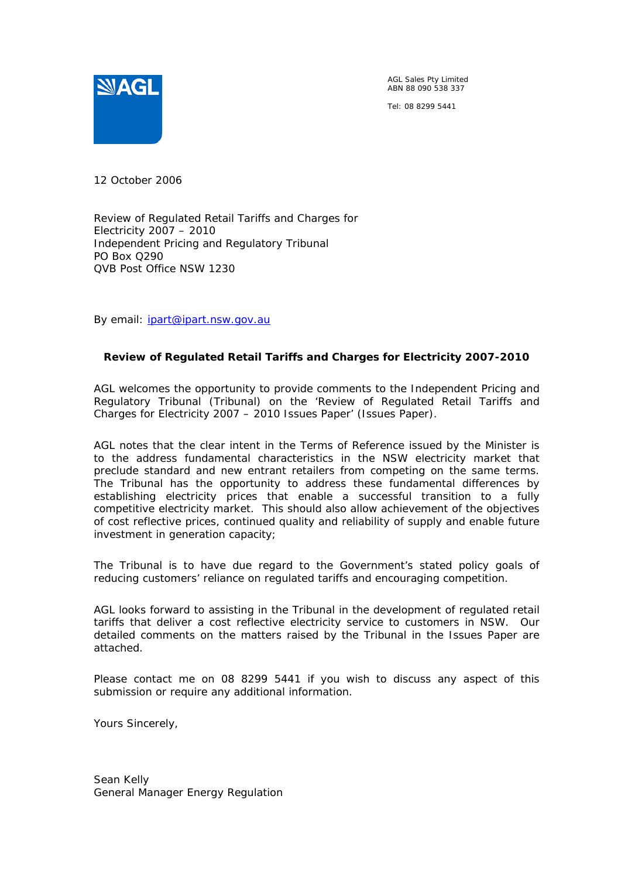

AGL Sales Pty Limited ABN 88 090 538 337

Tel: 08 8299 5441

12 October 2006

Review of Regulated Retail Tariffs and Charges for Electricity 2007 – 2010 Independent Pricing and Regulatory Tribunal PO Box Q290 QVB Post Office NSW 1230

By email: *jpart@ipart.nsw.gov.au* 

#### **Review of Regulated Retail Tariffs and Charges for Electricity 2007-2010**

AGL welcomes the opportunity to provide comments to the Independent Pricing and Regulatory Tribunal (Tribunal) on the 'Review of Regulated Retail Tariffs and Charges for Electricity 2007 – 2010 Issues Paper' (Issues Paper).

AGL notes that the clear intent in the Terms of Reference issued by the Minister is to the address fundamental characteristics in the NSW electricity market that preclude standard and new entrant retailers from competing on the same terms. The Tribunal has the opportunity to address these fundamental differences by establishing electricity prices that enable a successful transition to a fully competitive electricity market. This should also allow achievement of the objectives of cost reflective prices, continued quality and reliability of supply and enable future investment in generation capacity;

The Tribunal is to have due regard to the Government's stated policy goals of reducing customers' reliance on regulated tariffs and encouraging competition.

AGL looks forward to assisting in the Tribunal in the development of regulated retail tariffs that deliver a cost reflective electricity service to customers in NSW. Our detailed comments on the matters raised by the Tribunal in the Issues Paper are attached.

Please contact me on 08 8299 5441 if you wish to discuss any aspect of this submission or require any additional information.

Yours Sincerely,

Sean Kelly General Manager Energy Regulation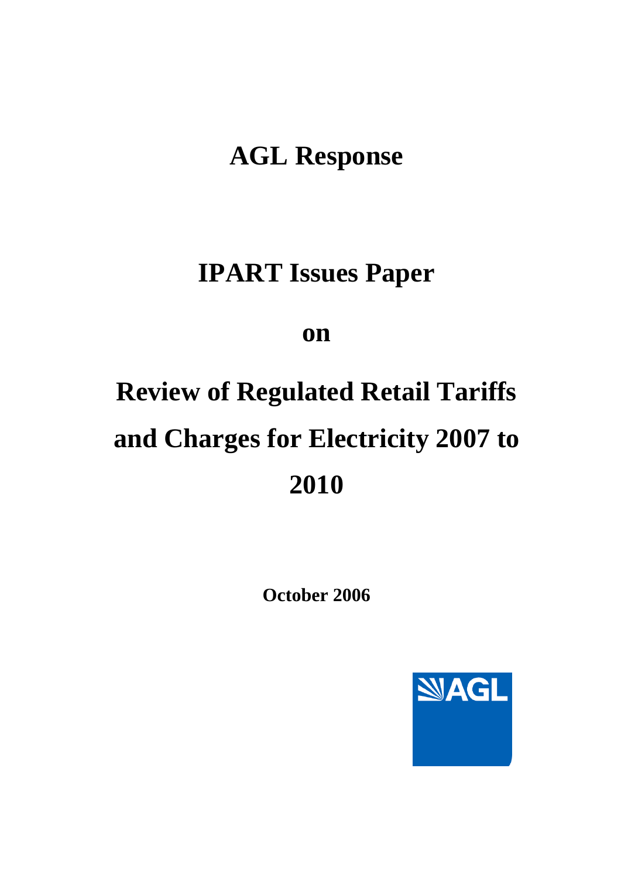# **AGL Response**

# **IPART Issues Paper**

## **on**

# **Review of Regulated Retail Tariffs and Charges for Electricity 2007 to 2010**

**October 2006** 

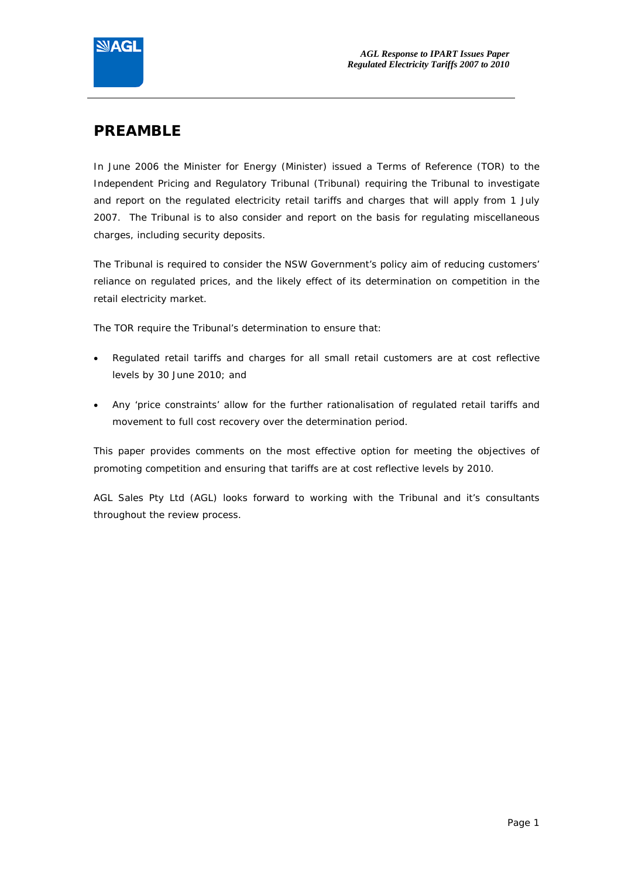

## **PREAMBLE**

In June 2006 the Minister for Energy (Minister) issued a Terms of Reference (TOR) to the Independent Pricing and Regulatory Tribunal (Tribunal) requiring the Tribunal to investigate and report on the regulated electricity retail tariffs and charges that will apply from 1 July 2007. The Tribunal is to also consider and report on the basis for regulating miscellaneous charges, including security deposits.

The Tribunal is required to consider the NSW Government's policy aim of reducing customers' reliance on regulated prices, and the likely effect of its determination on competition in the retail electricity market.

The TOR require the Tribunal's determination to ensure that:

- Regulated retail tariffs and charges for all small retail customers are at cost reflective levels by 30 June 2010; and
- Any 'price constraints' allow for the further rationalisation of regulated retail tariffs and movement to full cost recovery over the determination period.

This paper provides comments on the most effective option for meeting the objectives of promoting competition and ensuring that tariffs are at cost reflective levels by 2010.

AGL Sales Pty Ltd (AGL) looks forward to working with the Tribunal and it's consultants throughout the review process.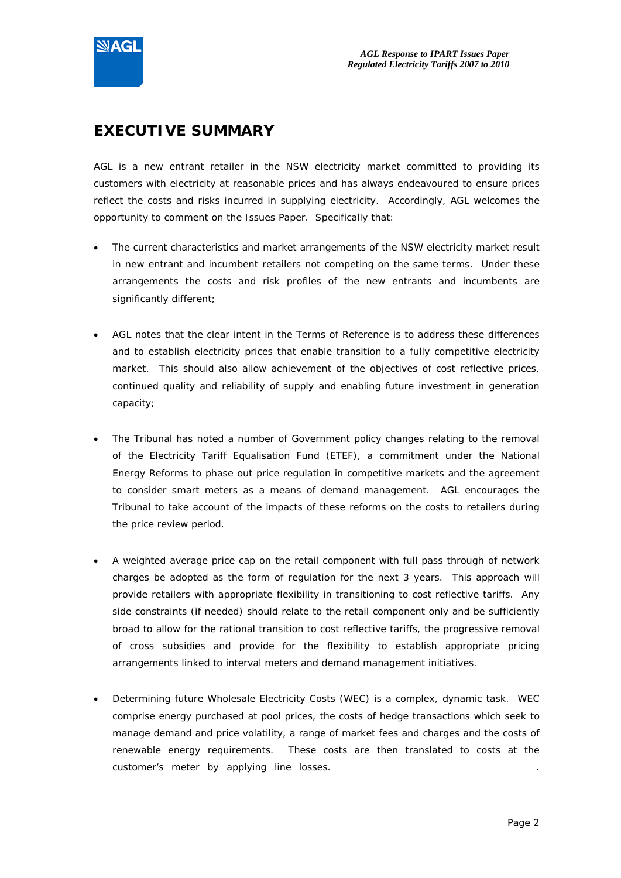

## **EXECUTIVE SUMMARY**

AGL is a new entrant retailer in the NSW electricity market committed to providing its customers with electricity at reasonable prices and has always endeavoured to ensure prices reflect the costs and risks incurred in supplying electricity. Accordingly, AGL welcomes the opportunity to comment on the Issues Paper. Specifically that:

- The current characteristics and market arrangements of the NSW electricity market result in new entrant and incumbent retailers not competing on the same terms. Under these arrangements the costs and risk profiles of the new entrants and incumbents are significantly different;
- AGL notes that the clear intent in the Terms of Reference is to address these differences and to establish electricity prices that enable transition to a fully competitive electricity market. This should also allow achievement of the objectives of cost reflective prices, continued quality and reliability of supply and enabling future investment in generation capacity;
- The Tribunal has noted a number of Government policy changes relating to the removal of the Electricity Tariff Equalisation Fund (ETEF), a commitment under the National Energy Reforms to phase out price regulation in competitive markets and the agreement to consider smart meters as a means of demand management. AGL encourages the Tribunal to take account of the impacts of these reforms on the costs to retailers during the price review period.
- A weighted average price cap on the retail component with full pass through of network charges be adopted as the form of regulation for the next 3 years. This approach will provide retailers with appropriate flexibility in transitioning to cost reflective tariffs. Any side constraints (if needed) should relate to the retail component only and be sufficiently broad to allow for the rational transition to cost reflective tariffs, the progressive removal of cross subsidies and provide for the flexibility to establish appropriate pricing arrangements linked to interval meters and demand management initiatives.
- Determining future Wholesale Electricity Costs (WEC) is a complex, dynamic task. WEC comprise energy purchased at pool prices, the costs of hedge transactions which seek to manage demand and price volatility, a range of market fees and charges and the costs of renewable energy requirements. These costs are then translated to costs at the customer's meter by applying line losses. .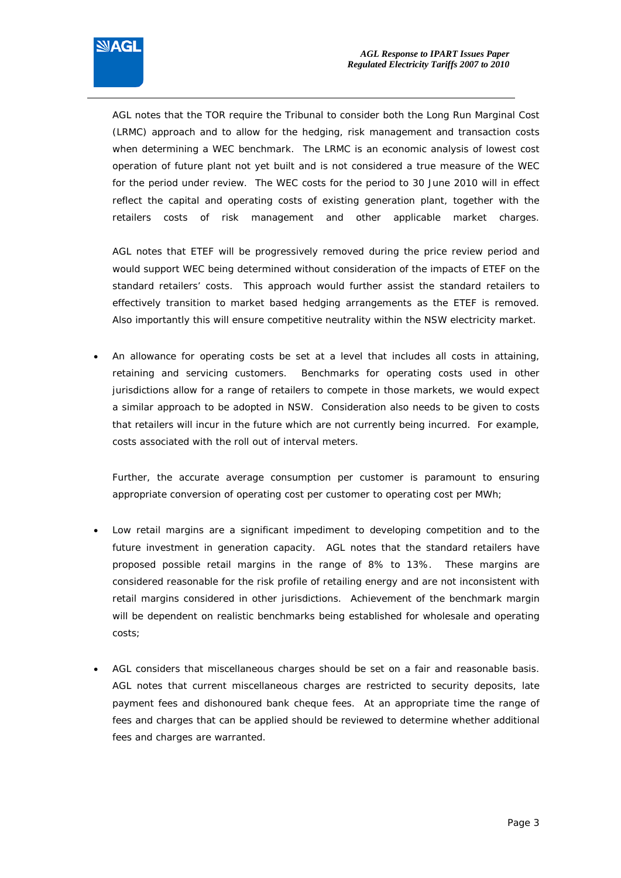

AGL notes that the TOR require the Tribunal to consider both the Long Run Marginal Cost (LRMC) approach and to allow for the hedging, risk management and transaction costs when determining a WEC benchmark. The LRMC is an economic analysis of lowest cost operation of future plant not yet built and is not considered a true measure of the WEC for the period under review. The WEC costs for the period to 30 June 2010 will in effect reflect the capital and operating costs of existing generation plant, together with the retailers costs of risk management and other applicable market charges.

AGL notes that ETEF will be progressively removed during the price review period and would support WEC being determined without consideration of the impacts of ETEF on the standard retailers' costs. This approach would further assist the standard retailers to effectively transition to market based hedging arrangements as the ETEF is removed. Also importantly this will ensure competitive neutrality within the NSW electricity market.

• An allowance for operating costs be set at a level that includes all costs in attaining, retaining and servicing customers. Benchmarks for operating costs used in other jurisdictions allow for a range of retailers to compete in those markets, we would expect a similar approach to be adopted in NSW. Consideration also needs to be given to costs that retailers will incur in the future which are not currently being incurred. For example, costs associated with the roll out of interval meters.

Further, the accurate average consumption per customer is paramount to ensuring appropriate conversion of operating cost per customer to operating cost per MWh;

- Low retail margins are a significant impediment to developing competition and to the future investment in generation capacity. AGL notes that the standard retailers have proposed possible retail margins in the range of 8% to 13%. These margins are considered reasonable for the risk profile of retailing energy and are not inconsistent with retail margins considered in other jurisdictions. Achievement of the benchmark margin will be dependent on realistic benchmarks being established for wholesale and operating costs;
- AGL considers that miscellaneous charges should be set on a fair and reasonable basis. AGL notes that current miscellaneous charges are restricted to security deposits, late payment fees and dishonoured bank cheque fees. At an appropriate time the range of fees and charges that can be applied should be reviewed to determine whether additional fees and charges are warranted.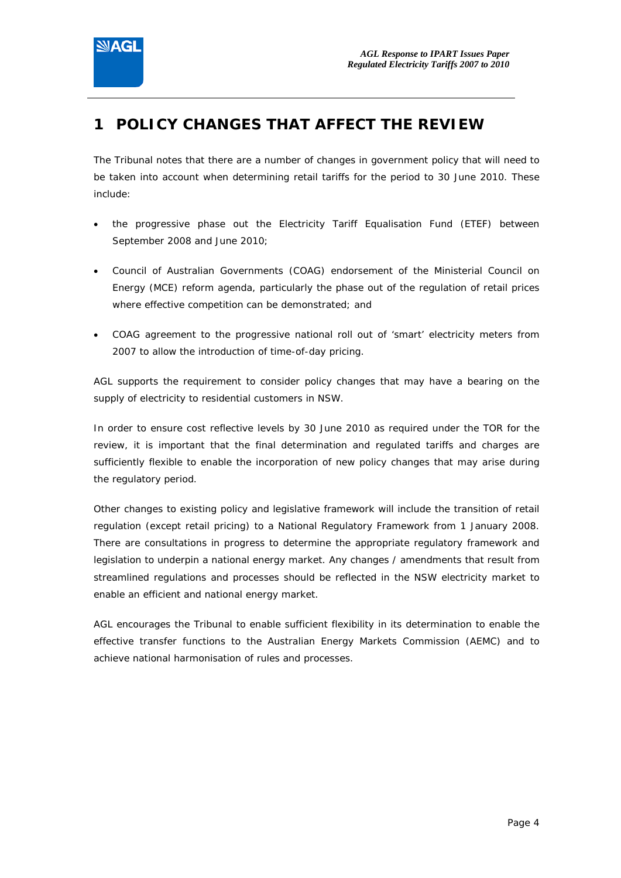

## **1 POLICY CHANGES THAT AFFECT THE REVIEW**

The Tribunal notes that there are a number of changes in government policy that will need to be taken into account when determining retail tariffs for the period to 30 June 2010. These include:

- the progressive phase out the Electricity Tariff Equalisation Fund (ETEF) between September 2008 and June 2010;
- Council of Australian Governments (COAG) endorsement of the Ministerial Council on Energy (MCE) reform agenda, particularly the phase out of the regulation of retail prices where effective competition can be demonstrated; and
- COAG agreement to the progressive national roll out of 'smart' electricity meters from 2007 to allow the introduction of time-of-day pricing.

AGL supports the requirement to consider policy changes that may have a bearing on the supply of electricity to residential customers in NSW.

In order to ensure cost reflective levels by 30 June 2010 as required under the TOR for the review, it is important that the final determination and regulated tariffs and charges are sufficiently flexible to enable the incorporation of new policy changes that may arise during the regulatory period.

Other changes to existing policy and legislative framework will include the transition of retail regulation (except retail pricing) to a National Regulatory Framework from 1 January 2008. There are consultations in progress to determine the appropriate regulatory framework and legislation to underpin a national energy market. Any changes / amendments that result from streamlined regulations and processes should be reflected in the NSW electricity market to enable an efficient and national energy market.

AGL encourages the Tribunal to enable sufficient flexibility in its determination to enable the effective transfer functions to the Australian Energy Markets Commission (AEMC) and to achieve national harmonisation of rules and processes.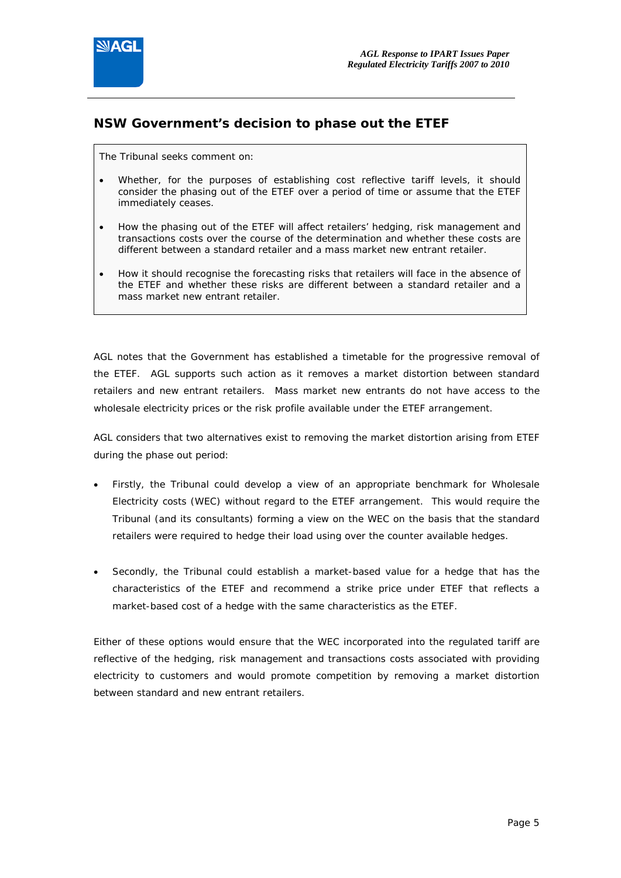

### **NSW Government's decision to phase out the ETEF**

*The Tribunal seeks comment on:* 

- *Whether, for the purposes of establishing cost reflective tariff levels, it should consider the phasing out of the ETEF over a period of time or assume that the ETEF immediately ceases.*
- *How the phasing out of the ETEF will affect retailers' hedging, risk management and transactions costs over the course of the determination and whether these costs are different between a standard retailer and a mass market new entrant retailer.*
- *How it should recognise the forecasting risks that retailers will face in the absence of the ETEF and whether these risks are different between a standard retailer and a mass market new entrant retailer.*

AGL notes that the Government has established a timetable for the progressive removal of the ETEF. AGL supports such action as it removes a market distortion between standard retailers and new entrant retailers. Mass market new entrants do not have access to the wholesale electricity prices or the risk profile available under the ETEF arrangement.

AGL considers that two alternatives exist to removing the market distortion arising from ETEF during the phase out period:

- Firstly, the Tribunal could develop a view of an appropriate benchmark for Wholesale Electricity costs (WEC) without regard to the ETEF arrangement. This would require the Tribunal (and its consultants) forming a view on the WEC on the basis that the standard retailers were required to hedge their load using over the counter available hedges.
- Secondly, the Tribunal could establish a market-based value for a hedge that has the characteristics of the ETEF and recommend a strike price under ETEF that reflects a market-based cost of a hedge with the same characteristics as the ETEF.

Either of these options would ensure that the WEC incorporated into the regulated tariff are reflective of the hedging, risk management and transactions costs associated with providing electricity to customers and would promote competition by removing a market distortion between standard and new entrant retailers.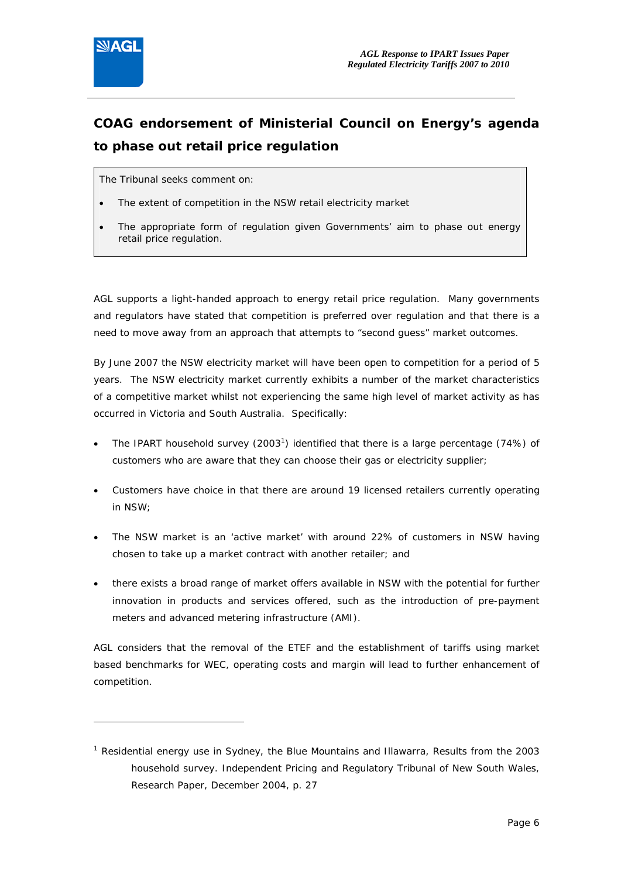

j

## **COAG endorsement of Ministerial Council on Energy's agenda to phase out retail price regulation**

#### *The Tribunal seeks comment on:*

- *The extent of competition in the NSW retail electricity market*
- *The appropriate form of regulation given Governments' aim to phase out energy retail price regulation.*

AGL supports a light-handed approach to energy retail price regulation. Many governments and regulators have stated that competition is preferred over regulation and that there is a need to move away from an approach that attempts to "second guess" market outcomes.

By June 2007 the NSW electricity market will have been open to competition for a period of 5 years. The NSW electricity market currently exhibits a number of the market characteristics of a competitive market whilst not experiencing the same high level of market activity as has occurred in Victoria and South Australia. Specifically:

- The IPART household survey  $(2003^1)$  identified that there is a large percentage  $(74%)$  of customers who are aware that they can choose their gas or electricity supplier;
- Customers have choice in that there are around 19 licensed retailers currently operating in NSW;
- The NSW market is an 'active market' with around 22% of customers in NSW having chosen to take up a market contract with another retailer; and
- there exists a broad range of market offers available in NSW with the potential for further innovation in products and services offered, such as the introduction of pre-payment meters and advanced metering infrastructure (AMI).

AGL considers that the removal of the ETEF and the establishment of tariffs using market based benchmarks for WEC, operating costs and margin will lead to further enhancement of competition.

<sup>&</sup>lt;sup>1</sup> Residential energy use in Sydney, the Blue Mountains and Illawarra, Results from the 2003 household survey. Independent Pricing and Regulatory Tribunal of New South Wales, Research Paper, December 2004, p. 27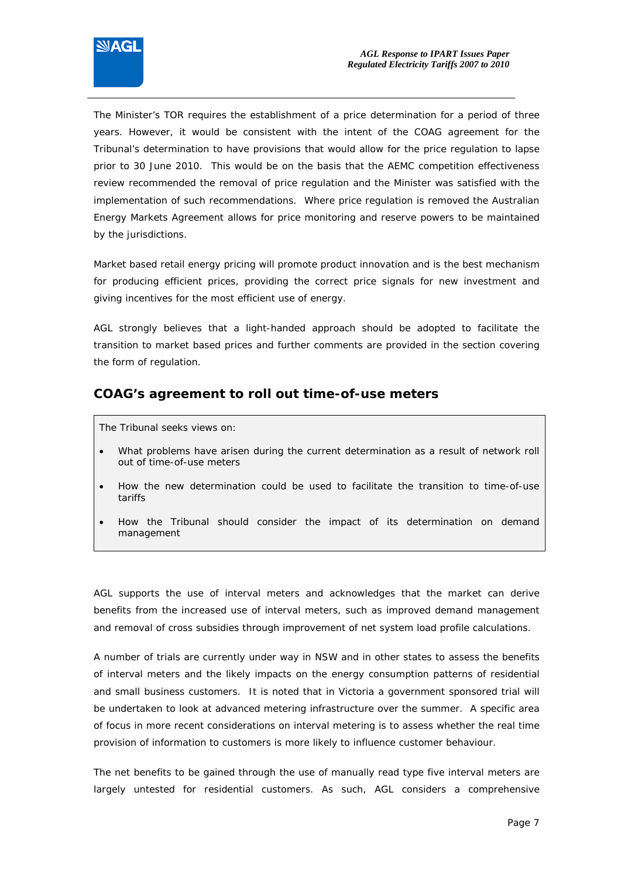

The Minister's TOR requires the establishment of a price determination for a period of three years. However, it would be consistent with the intent of the COAG agreement for the Tribunal's determination to have provisions that would allow for the price regulation to lapse prior to 30 June 2010. This would be on the basis that the AEMC competition effectiveness review recommended the removal of price regulation and the Minister was satisfied with the implementation of such recommendations. Where price regulation is removed the Australian Energy Markets Agreement allows for price monitoring and reserve powers to be maintained by the jurisdictions.

Market based retail energy pricing will promote product innovation and is the best mechanism for producing efficient prices, providing the correct price signals for new investment and giving incentives for the most efficient use of energy.

AGL strongly believes that a light-handed approach should be adopted to facilitate the transition to market based prices and further comments are provided in the section covering the form of regulation.

#### **COAG's agreement to roll out time-of-use meters**

*The Tribunal seeks views on:* 

- What problems have arisen during the current determination as a result of network roll *out of time-of-use meters*
- *How the new determination could be used to facilitate the transition to time-of-use tariffs*
- *How the Tribunal should consider the impact of its determination on demand management*

AGL supports the use of interval meters and acknowledges that the market can derive benefits from the increased use of interval meters, such as improved demand management and removal of cross subsidies through improvement of net system load profile calculations.

A number of trials are currently under way in NSW and in other states to assess the benefits of interval meters and the likely impacts on the energy consumption patterns of residential and small business customers. It is noted that in Victoria a government sponsored trial will be undertaken to look at advanced metering infrastructure over the summer. A specific area of focus in more recent considerations on interval metering is to assess whether the real time provision of information to customers is more likely to influence customer behaviour.

The net benefits to be gained through the use of manually read type five interval meters are largely untested for residential customers. As such, AGL considers a comprehensive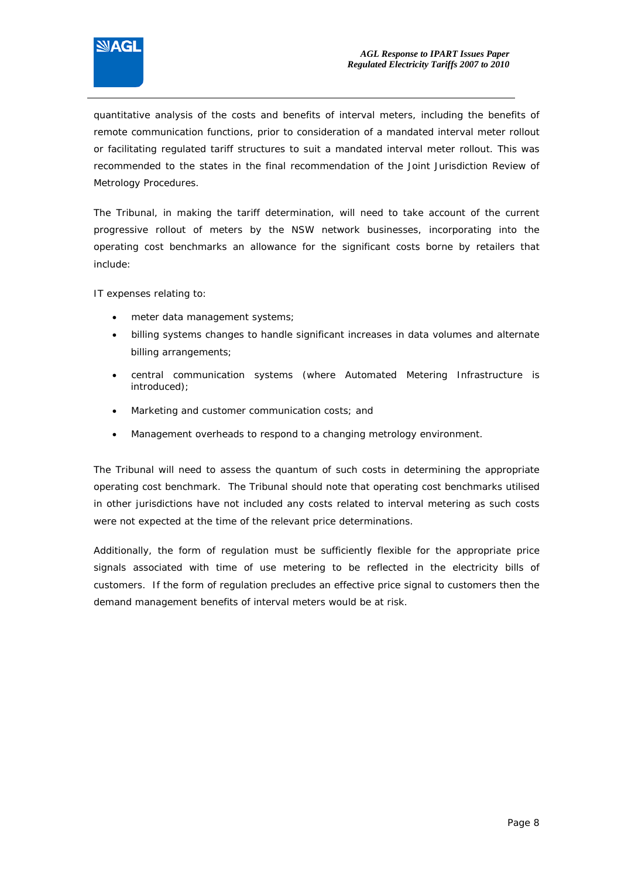

quantitative analysis of the costs and benefits of interval meters, including the benefits of remote communication functions, prior to consideration of a mandated interval meter rollout or facilitating regulated tariff structures to suit a mandated interval meter rollout. This was recommended to the states in the final recommendation of the Joint Jurisdiction Review of Metrology Procedures.

The Tribunal, in making the tariff determination, will need to take account of the current progressive rollout of meters by the NSW network businesses, incorporating into the operating cost benchmarks an allowance for the significant costs borne by retailers that include:

IT expenses relating to:

- meter data management systems;
- billing systems changes to handle significant increases in data volumes and alternate billing arrangements;
- central communication systems (where Automated Metering Infrastructure is introduced);
- Marketing and customer communication costs; and
- Management overheads to respond to a changing metrology environment.

The Tribunal will need to assess the quantum of such costs in determining the appropriate operating cost benchmark. The Tribunal should note that operating cost benchmarks utilised in other jurisdictions have not included any costs related to interval metering as such costs were not expected at the time of the relevant price determinations.

Additionally, the form of regulation must be sufficiently flexible for the appropriate price signals associated with time of use metering to be reflected in the electricity bills of customers. If the form of regulation precludes an effective price signal to customers then the demand management benefits of interval meters would be at risk.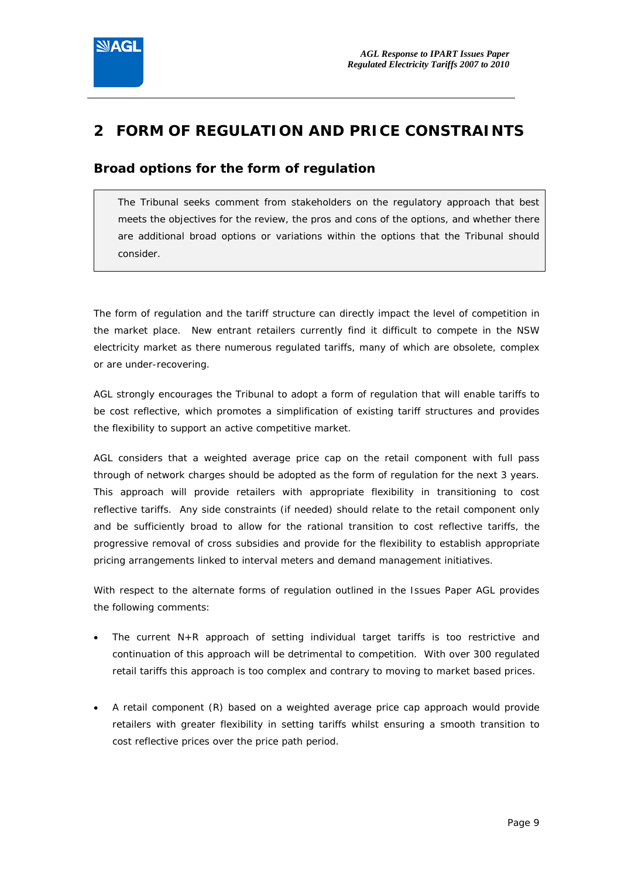

## **2 FORM OF REGULATION AND PRICE CONSTRAINTS**

### **Broad options for the form of regulation**

 *The Tribunal seeks comment from stakeholders on the regulatory approach that best meets the objectives for the review, the pros and cons of the options, and whether there are additional broad options or variations within the options that the Tribunal should consider.* 

The form of regulation and the tariff structure can directly impact the level of competition in the market place. New entrant retailers currently find it difficult to compete in the NSW electricity market as there numerous regulated tariffs, many of which are obsolete, complex or are under-recovering.

AGL strongly encourages the Tribunal to adopt a form of regulation that will enable tariffs to be cost reflective, which promotes a simplification of existing tariff structures and provides the flexibility to support an active competitive market.

AGL considers that a weighted average price cap on the retail component with full pass through of network charges should be adopted as the form of regulation for the next 3 years. This approach will provide retailers with appropriate flexibility in transitioning to cost reflective tariffs. Any side constraints (if needed) should relate to the retail component only and be sufficiently broad to allow for the rational transition to cost reflective tariffs, the progressive removal of cross subsidies and provide for the flexibility to establish appropriate pricing arrangements linked to interval meters and demand management initiatives.

With respect to the alternate forms of regulation outlined in the Issues Paper AGL provides the following comments:

- The current N+R approach of setting individual target tariffs is too restrictive and continuation of this approach will be detrimental to competition. With over 300 regulated retail tariffs this approach is too complex and contrary to moving to market based prices.
- A retail component (R) based on a weighted average price cap approach would provide retailers with greater flexibility in setting tariffs whilst ensuring a smooth transition to cost reflective prices over the price path period.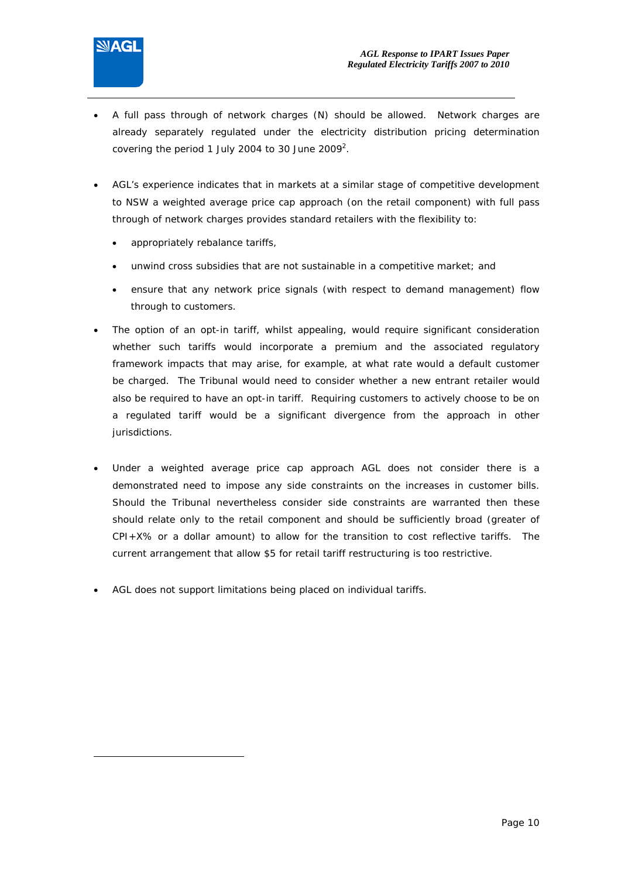

ł

- A full pass through of network charges (N) should be allowed. Network charges are already separately regulated under the electricity distribution pricing determination covering the period 1 July 2004 to 30 June 2009<sup>2</sup>.
- AGL's experience indicates that in markets at a similar stage of competitive development to NSW a weighted average price cap approach (on the retail component) with full pass through of network charges provides standard retailers with the flexibility to:
	- appropriately rebalance tariffs,
	- unwind cross subsidies that are not sustainable in a competitive market; and
	- ensure that any network price signals (with respect to demand management) flow through to customers.
- The option of an opt-in tariff, whilst appealing, would require significant consideration whether such tariffs would incorporate a premium and the associated regulatory framework impacts that may arise, for example, at what rate would a default customer be charged. The Tribunal would need to consider whether a new entrant retailer would also be required to have an opt-in tariff. Requiring customers to actively choose to be on a regulated tariff would be a significant divergence from the approach in other jurisdictions.
- Under a weighted average price cap approach AGL does not consider there is a demonstrated need to impose any side constraints on the increases in customer bills. Should the Tribunal nevertheless consider side constraints are warranted then these should relate only to the retail component and should be sufficiently broad (greater of CPI+X% or a dollar amount) to allow for the transition to cost reflective tariffs. The current arrangement that allow \$5 for retail tariff restructuring is too restrictive.
- AGL does not support limitations being placed on individual tariffs.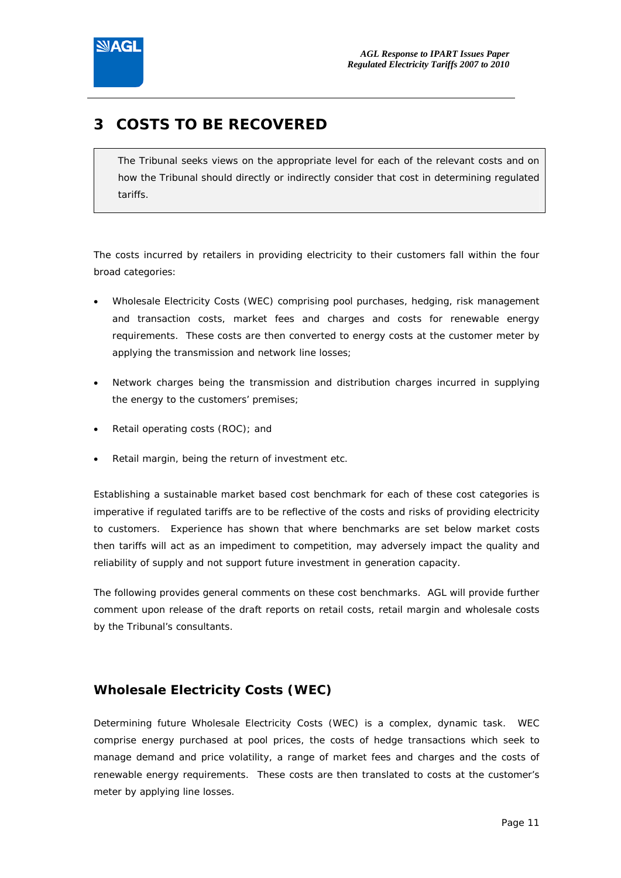

## **3 COSTS TO BE RECOVERED**

 *The Tribunal seeks views on the appropriate level for each of the relevant costs and on how the Tribunal should directly or indirectly consider that cost in determining regulated tariffs.* 

The costs incurred by retailers in providing electricity to their customers fall within the four broad categories:

- Wholesale Electricity Costs (WEC) comprising pool purchases, hedging, risk management and transaction costs, market fees and charges and costs for renewable energy requirements. These costs are then converted to energy costs at the customer meter by applying the transmission and network line losses;
- Network charges being the transmission and distribution charges incurred in supplying the energy to the customers' premises;
- Retail operating costs (ROC); and
- Retail margin, being the return of investment etc.

Establishing a sustainable market based cost benchmark for each of these cost categories is imperative if regulated tariffs are to be reflective of the costs and risks of providing electricity to customers. Experience has shown that where benchmarks are set below market costs then tariffs will act as an impediment to competition, may adversely impact the quality and reliability of supply and not support future investment in generation capacity.

The following provides general comments on these cost benchmarks. AGL will provide further comment upon release of the draft reports on retail costs, retail margin and wholesale costs by the Tribunal's consultants.

## **Wholesale Electricity Costs (WEC)**

Determining future Wholesale Electricity Costs (WEC) is a complex, dynamic task. WEC comprise energy purchased at pool prices, the costs of hedge transactions which seek to manage demand and price volatility, a range of market fees and charges and the costs of renewable energy requirements. These costs are then translated to costs at the customer's meter by applying line losses.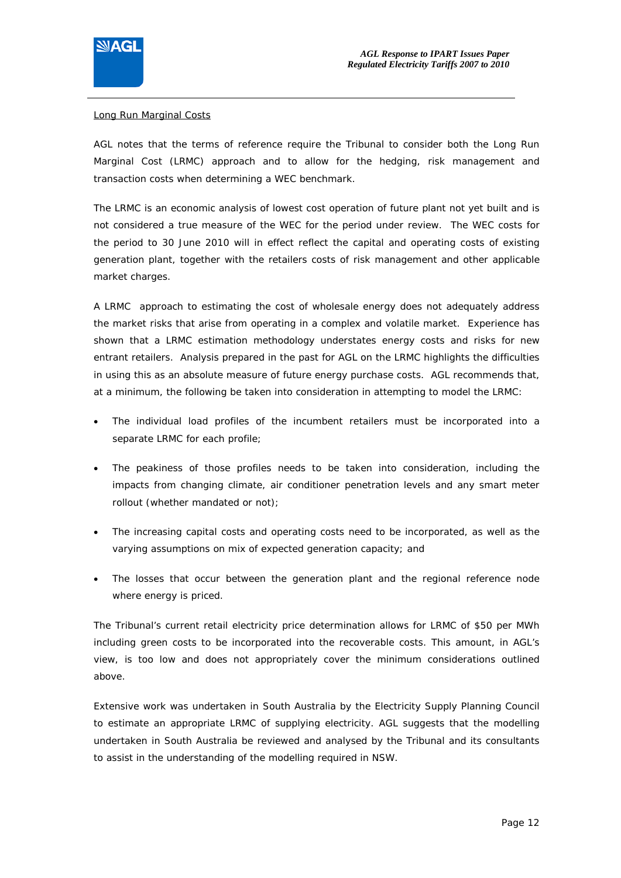

#### Long Run Marginal Costs

AGL notes that the terms of reference require the Tribunal to consider both the Long Run Marginal Cost (LRMC) approach and to allow for the hedging, risk management and transaction costs when determining a WEC benchmark.

The LRMC is an economic analysis of lowest cost operation of future plant not yet built and is not considered a true measure of the WEC for the period under review. The WEC costs for the period to 30 June 2010 will in effect reflect the capital and operating costs of existing generation plant, together with the retailers costs of risk management and other applicable market charges.

A LRMC approach to estimating the cost of wholesale energy does not adequately address the market risks that arise from operating in a complex and volatile market. Experience has shown that a LRMC estimation methodology understates energy costs and risks for new entrant retailers. Analysis prepared in the past for AGL on the LRMC highlights the difficulties in using this as an absolute measure of future energy purchase costs. AGL recommends that, at a minimum, the following be taken into consideration in attempting to model the LRMC:

- The individual load profiles of the incumbent retailers must be incorporated into a separate LRMC for each profile;
- The peakiness of those profiles needs to be taken into consideration, including the impacts from changing climate, air conditioner penetration levels and any smart meter rollout (whether mandated or not);
- The increasing capital costs and operating costs need to be incorporated, as well as the varying assumptions on mix of expected generation capacity; and
- The losses that occur between the generation plant and the regional reference node where energy is priced.

The Tribunal's current retail electricity price determination allows for LRMC of \$50 per MWh including green costs to be incorporated into the recoverable costs. This amount, in AGL's view, is too low and does not appropriately cover the minimum considerations outlined above.

Extensive work was undertaken in South Australia by the Electricity Supply Planning Council to estimate an appropriate LRMC of supplying electricity. AGL suggests that the modelling undertaken in South Australia be reviewed and analysed by the Tribunal and its consultants to assist in the understanding of the modelling required in NSW.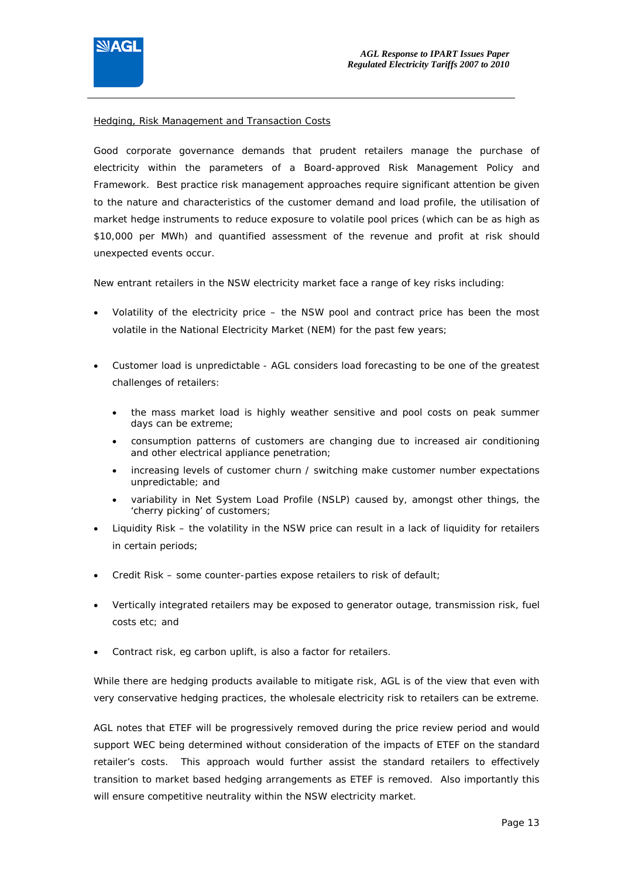

#### Hedging, Risk Management and Transaction Costs

Good corporate governance demands that prudent retailers manage the purchase of electricity within the parameters of a Board-approved Risk Management Policy and Framework. Best practice risk management approaches require significant attention be given to the nature and characteristics of the customer demand and load profile, the utilisation of market hedge instruments to reduce exposure to volatile pool prices (which can be as high as \$10,000 per MWh) and quantified assessment of the revenue and profit at risk should unexpected events occur.

New entrant retailers in the NSW electricity market face a range of key risks including:

- Volatility of the electricity price the NSW pool and contract price has been the most volatile in the National Electricity Market (NEM) for the past few years;
- Customer load is unpredictable AGL considers load forecasting to be one of the greatest challenges of retailers:
	- the mass market load is highly weather sensitive and pool costs on peak summer days can be extreme;
	- consumption patterns of customers are changing due to increased air conditioning and other electrical appliance penetration;
	- increasing levels of customer churn / switching make customer number expectations unpredictable; and
	- variability in Net System Load Profile (NSLP) caused by, amongst other things, the 'cherry picking' of customers;
- Liquidity Risk the volatility in the NSW price can result in a lack of liquidity for retailers in certain periods;
- Credit Risk some counter-parties expose retailers to risk of default;
- Vertically integrated retailers may be exposed to generator outage, transmission risk, fuel costs etc; and
- Contract risk, eg carbon uplift, is also a factor for retailers.

While there are hedging products available to mitigate risk, AGL is of the view that even with very conservative hedging practices, the wholesale electricity risk to retailers can be extreme.

AGL notes that ETEF will be progressively removed during the price review period and would support WEC being determined without consideration of the impacts of ETEF on the standard retailer's costs. This approach would further assist the standard retailers to effectively transition to market based hedging arrangements as ETEF is removed. Also importantly this will ensure competitive neutrality within the NSW electricity market.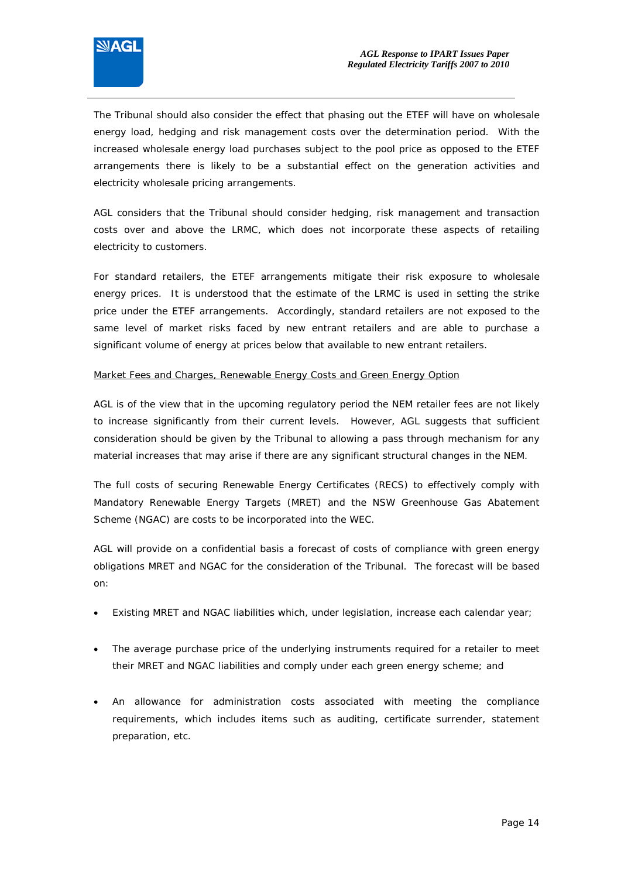

The Tribunal should also consider the effect that phasing out the ETEF will have on wholesale energy load, hedging and risk management costs over the determination period. With the increased wholesale energy load purchases subject to the pool price as opposed to the ETEF arrangements there is likely to be a substantial effect on the generation activities and electricity wholesale pricing arrangements.

AGL considers that the Tribunal should consider hedging, risk management and transaction costs over and above the LRMC, which does not incorporate these aspects of retailing electricity to customers.

For standard retailers, the ETEF arrangements mitigate their risk exposure to wholesale energy prices. It is understood that the estimate of the LRMC is used in setting the strike price under the ETEF arrangements. Accordingly, standard retailers are not exposed to the same level of market risks faced by new entrant retailers and are able to purchase a significant volume of energy at prices below that available to new entrant retailers.

#### Market Fees and Charges, Renewable Energy Costs and Green Energy Option

AGL is of the view that in the upcoming regulatory period the NEM retailer fees are not likely to increase significantly from their current levels. However, AGL suggests that sufficient consideration should be given by the Tribunal to allowing a pass through mechanism for any material increases that may arise if there are any significant structural changes in the NEM.

The full costs of securing Renewable Energy Certificates (RECS) to effectively comply with Mandatory Renewable Energy Targets (MRET) and the NSW Greenhouse Gas Abatement Scheme (NGAC) are costs to be incorporated into the WEC.

AGL will provide on a confidential basis a forecast of costs of compliance with green energy obligations MRET and NGAC for the consideration of the Tribunal. The forecast will be based on:

- Existing MRET and NGAC liabilities which, under legislation, increase each calendar year;
- The average purchase price of the underlying instruments required for a retailer to meet their MRET and NGAC liabilities and comply under each green energy scheme; and
- An allowance for administration costs associated with meeting the compliance requirements, which includes items such as auditing, certificate surrender, statement preparation, etc.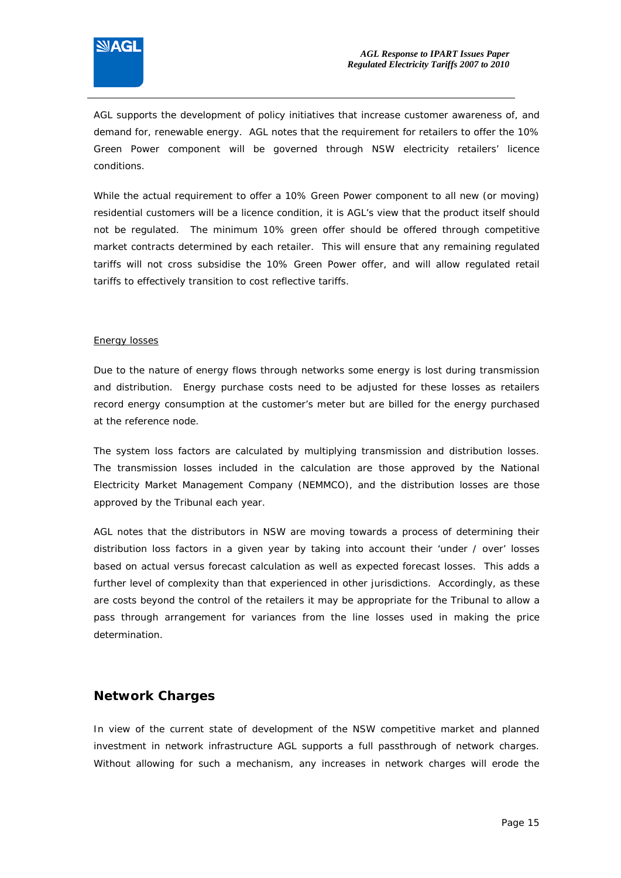

AGL supports the development of policy initiatives that increase customer awareness of, and demand for, renewable energy. AGL notes that the requirement for retailers to offer the 10% Green Power component will be governed through NSW electricity retailers' licence conditions.

While the actual requirement to offer a 10% Green Power component to all new (or moving) residential customers will be a licence condition, it is AGL's view that the product itself should not be regulated. The minimum 10% green offer should be offered through competitive market contracts determined by each retailer. This will ensure that any remaining regulated tariffs will not cross subsidise the 10% Green Power offer, and will allow regulated retail tariffs to effectively transition to cost reflective tariffs.

#### Energy losses

Due to the nature of energy flows through networks some energy is lost during transmission and distribution. Energy purchase costs need to be adjusted for these losses as retailers record energy consumption at the customer's meter but are billed for the energy purchased at the reference node.

The system loss factors are calculated by multiplying transmission and distribution losses. The transmission losses included in the calculation are those approved by the National Electricity Market Management Company (NEMMCO), and the distribution losses are those approved by the Tribunal each year.

AGL notes that the distributors in NSW are moving towards a process of determining their distribution loss factors in a given year by taking into account their 'under / over' losses based on actual versus forecast calculation as well as expected forecast losses. This adds a further level of complexity than that experienced in other jurisdictions. Accordingly, as these are costs beyond the control of the retailers it may be appropriate for the Tribunal to allow a pass through arrangement for variances from the line losses used in making the price determination.

#### **Network Charges**

In view of the current state of development of the NSW competitive market and planned investment in network infrastructure AGL supports a full passthrough of network charges. Without allowing for such a mechanism, any increases in network charges will erode the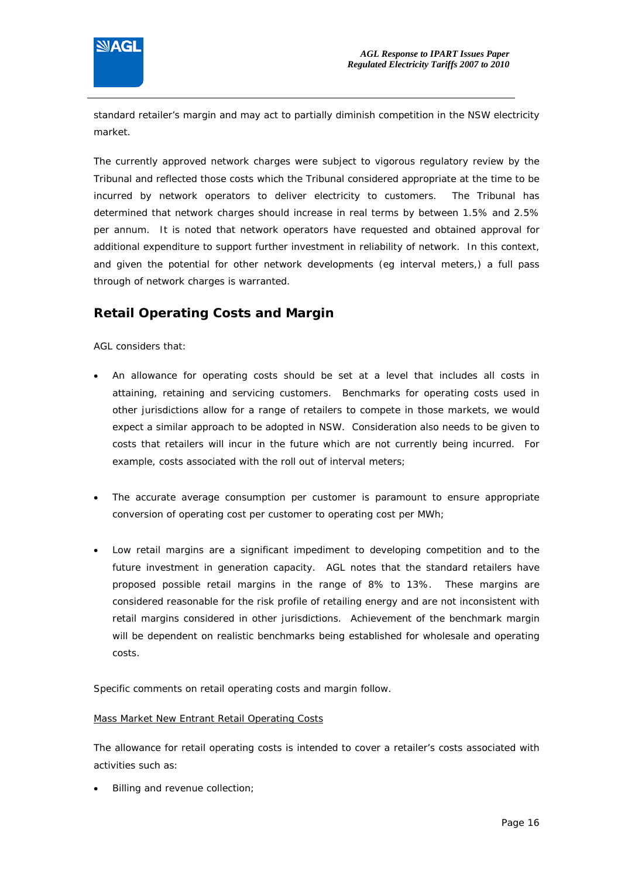

standard retailer's margin and may act to partially diminish competition in the NSW electricity market.

The currently approved network charges were subject to vigorous regulatory review by the Tribunal and reflected those costs which the Tribunal considered appropriate at the time to be incurred by network operators to deliver electricity to customers. The Tribunal has determined that network charges should increase in real terms by between 1.5% and 2.5% per annum. It is noted that network operators have requested and obtained approval for additional expenditure to support further investment in reliability of network. In this context, and given the potential for other network developments (eg interval meters,) a full pass through of network charges is warranted.

## **Retail Operating Costs and Margin**

AGL considers that:

- An allowance for operating costs should be set at a level that includes all costs in attaining, retaining and servicing customers. Benchmarks for operating costs used in other jurisdictions allow for a range of retailers to compete in those markets, we would expect a similar approach to be adopted in NSW. Consideration also needs to be given to costs that retailers will incur in the future which are not currently being incurred. For example, costs associated with the roll out of interval meters;
- The accurate average consumption per customer is paramount to ensure appropriate conversion of operating cost per customer to operating cost per MWh;
- Low retail margins are a significant impediment to developing competition and to the future investment in generation capacity. AGL notes that the standard retailers have proposed possible retail margins in the range of 8% to 13%. These margins are considered reasonable for the risk profile of retailing energy and are not inconsistent with retail margins considered in other jurisdictions. Achievement of the benchmark margin will be dependent on realistic benchmarks being established for wholesale and operating costs.

Specific comments on retail operating costs and margin follow.

#### Mass Market New Entrant Retail Operating Costs

The allowance for retail operating costs is intended to cover a retailer's costs associated with activities such as:

Billing and revenue collection;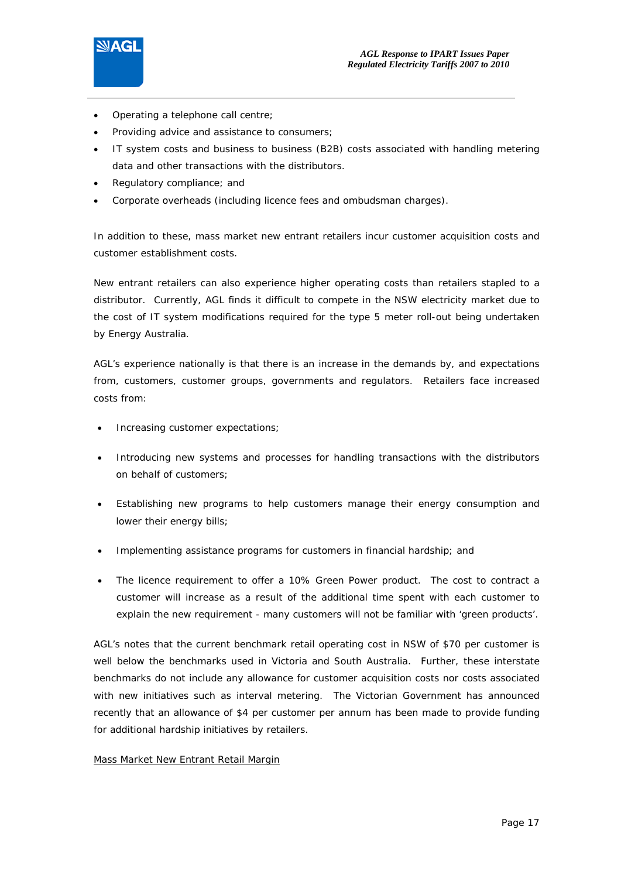

- Operating a telephone call centre;
- Providing advice and assistance to consumers;
- IT system costs and business to business (B2B) costs associated with handling metering data and other transactions with the distributors.
- Regulatory compliance; and
- Corporate overheads (including licence fees and ombudsman charges).

In addition to these, mass market new entrant retailers incur customer acquisition costs and customer establishment costs.

New entrant retailers can also experience higher operating costs than retailers stapled to a distributor. Currently, AGL finds it difficult to compete in the NSW electricity market due to the cost of IT system modifications required for the type 5 meter roll-out being undertaken by Energy Australia.

AGL's experience nationally is that there is an increase in the demands by, and expectations from, customers, customer groups, governments and regulators. Retailers face increased costs from:

- Increasing customer expectations;
- Introducing new systems and processes for handling transactions with the distributors on behalf of customers;
- Establishing new programs to help customers manage their energy consumption and lower their energy bills;
- Implementing assistance programs for customers in financial hardship; and
- The licence requirement to offer a 10% Green Power product. The cost to contract a customer will increase as a result of the additional time spent with each customer to explain the new requirement - many customers will not be familiar with 'green products'.

AGL's notes that the current benchmark retail operating cost in NSW of \$70 per customer is well below the benchmarks used in Victoria and South Australia. Further, these interstate benchmarks do not include any allowance for customer acquisition costs nor costs associated with new initiatives such as interval metering. The Victorian Government has announced recently that an allowance of \$4 per customer per annum has been made to provide funding for additional hardship initiatives by retailers.

#### Mass Market New Entrant Retail Margin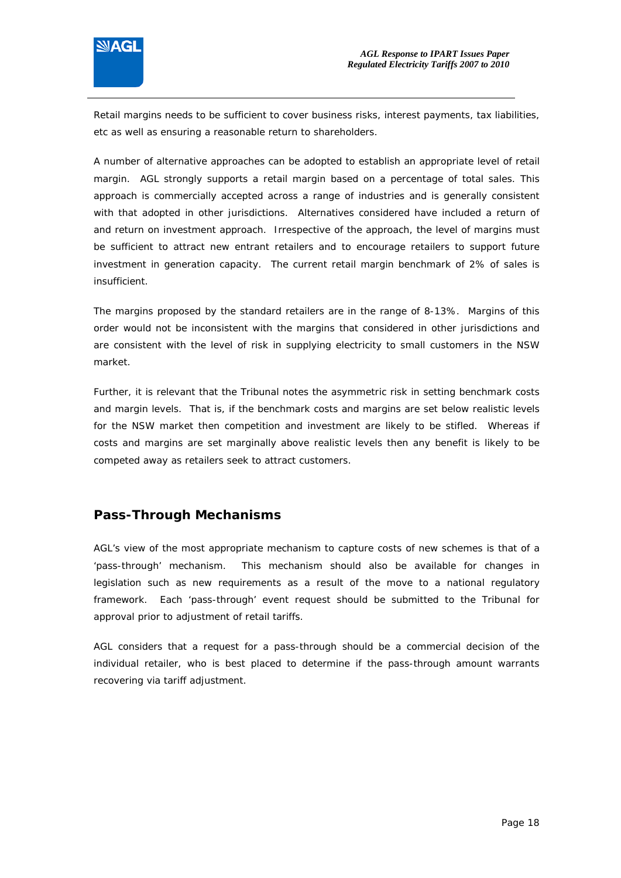

Retail margins needs to be sufficient to cover business risks, interest payments, tax liabilities, etc as well as ensuring a reasonable return to shareholders.

A number of alternative approaches can be adopted to establish an appropriate level of retail margin. AGL strongly supports a retail margin based on a percentage of total sales. This approach is commercially accepted across a range of industries and is generally consistent with that adopted in other jurisdictions. Alternatives considered have included a return of and return on investment approach. Irrespective of the approach, the level of margins must be sufficient to attract new entrant retailers and to encourage retailers to support future investment in generation capacity. The current retail margin benchmark of 2% of sales is insufficient.

The margins proposed by the standard retailers are in the range of 8-13%. Margins of this order would not be inconsistent with the margins that considered in other jurisdictions and are consistent with the level of risk in supplying electricity to small customers in the NSW market.

Further, it is relevant that the Tribunal notes the asymmetric risk in setting benchmark costs and margin levels. That is, if the benchmark costs and margins are set below realistic levels for the NSW market then competition and investment are likely to be stifled. Whereas if costs and margins are set marginally above realistic levels then any benefit is likely to be competed away as retailers seek to attract customers.

#### **Pass-Through Mechanisms**

AGL's view of the most appropriate mechanism to capture costs of new schemes is that of a 'pass-through' mechanism. This mechanism should also be available for changes in legislation such as new requirements as a result of the move to a national regulatory framework. Each 'pass-through' event request should be submitted to the Tribunal for approval prior to adjustment of retail tariffs.

AGL considers that a request for a pass-through should be a commercial decision of the individual retailer, who is best placed to determine if the pass-through amount warrants recovering via tariff adjustment.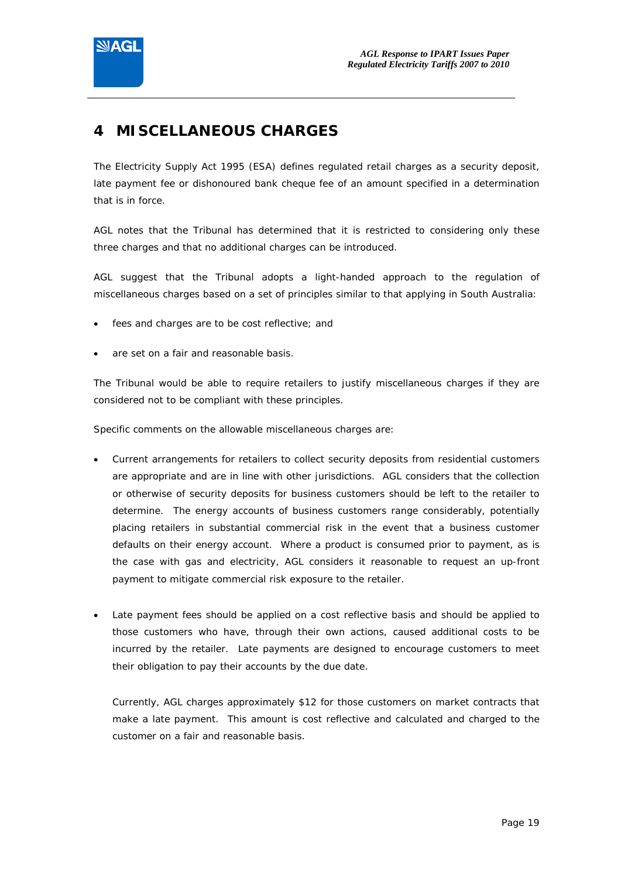

## **4 MISCELLANEOUS CHARGES**

The Electricity Supply Act 1995 (ESA) defines regulated retail charges as a security deposit, late payment fee or dishonoured bank cheque fee of an amount specified in a determination that is in force.

AGL notes that the Tribunal has determined that it is restricted to considering only these three charges and that no additional charges can be introduced.

AGL suggest that the Tribunal adopts a light-handed approach to the regulation of miscellaneous charges based on a set of principles similar to that applying in South Australia:

- fees and charges are to be cost reflective; and
- are set on a fair and reasonable basis.

The Tribunal would be able to require retailers to justify miscellaneous charges if they are considered not to be compliant with these principles.

Specific comments on the allowable miscellaneous charges are:

- Current arrangements for retailers to collect security deposits from residential customers are appropriate and are in line with other jurisdictions. AGL considers that the collection or otherwise of security deposits for business customers should be left to the retailer to determine. The energy accounts of business customers range considerably, potentially placing retailers in substantial commercial risk in the event that a business customer defaults on their energy account. Where a product is consumed prior to payment, as is the case with gas and electricity, AGL considers it reasonable to request an up-front payment to mitigate commercial risk exposure to the retailer.
- Late payment fees should be applied on a cost reflective basis and should be applied to those customers who have, through their own actions, caused additional costs to be incurred by the retailer. Late payments are designed to encourage customers to meet their obligation to pay their accounts by the due date.

Currently, AGL charges approximately \$12 for those customers on market contracts that make a late payment. This amount is cost reflective and calculated and charged to the customer on a fair and reasonable basis.